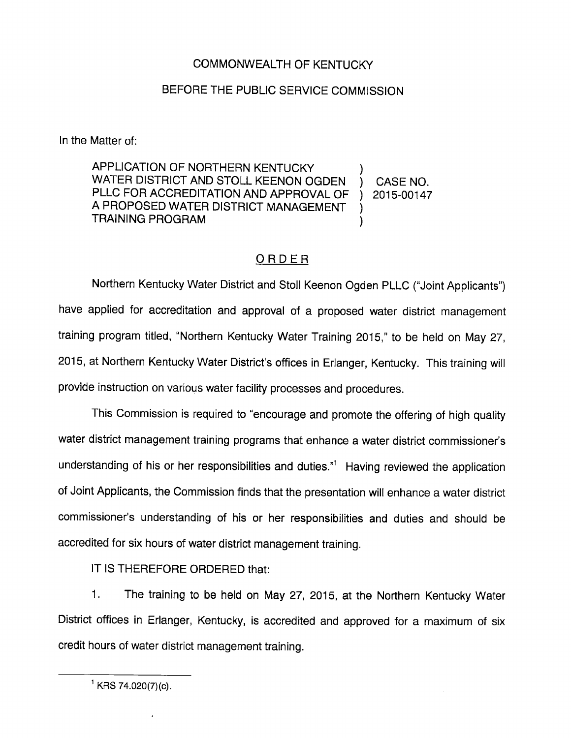## COMMONWEALTH OF KENTUCKY

## BEFORE THE PUBLIC SERVICE COMMISSION

In the Matter of:

APPLICATION OF NORTHERN KENTUCKY WATER DISTRICT AND STOLL KEENON OGDEN CASE NO. PLLC FOR ACCREDITATION AND APPROVAL OF 2015-00147 A PROPOSED WATER DISTRICT MANAGEMENT TRAINING PROGRAM )

## ORDER

Northern Kentucky Water District and Stoll Keenon Ogden PLLC ("Joint Applicants") have applied for accreditation and approval of a proposed water district management training program titled, "Northern Kentucky Water Training 2015," to be held on May 27, 2015, at Northern Kentucky Water District's offices in Erlanger, Kentucky. This training will provide instruction on various water facility processes and procedures.

This Commission is required to "encourage and promote the offering of high quality water district management training programs that enhance a water district commissioner's understanding of his or her responsibilities and duties."<sup>1</sup> Having reviewed the application of Joint Applicants, the Commission finds that the presentation will enhance a water district commissioner's understanding of his or her responsibilities and duties and should be accredited for six hours of water district management training.

IT IS THEREFORE ORDERED that:

1. The training to be held on May 27, 2015, at the Northern Kentucky Water District offices in Erianger, Kentucky, is accredited and approved for a maximum of six credit hours of water district management training.

 $^1$  KRS 74.020(7)(c).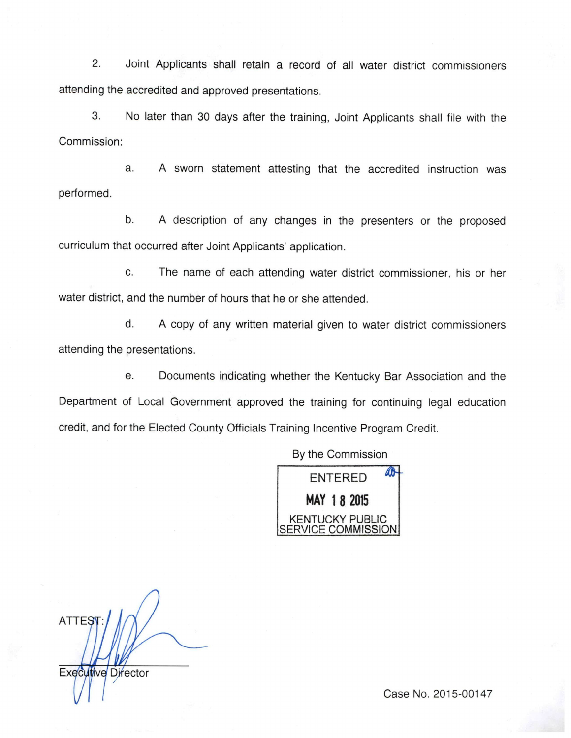2. Joint Applicants shall retain a record of all water district commissioners attending the accredited and approved presentations.

3. No later than 30 days after the training, Joint Applicants shall file with the Commission:

a. A sworn statement attesting that the accredited instruction was performed.

b. A description of any changes in the presenters or the proposed curriculum that occurred after Joint Applicants' application.

c. The name of each attending water district commissioner, his or her water district, and the number of hours that he or she attended.

d. A copy of any written material given to water district commissioners attending the presentations.

e. Documents indicating whether the Kentucky Bar Association and the Department of Local Government approved the training for continuing legal education credit, and for the Elected County Officials Training Incentive Program Credit.

> By the Commission Áß ENTERED MAY 1 8 2015 KENTUCKY PUBLIC ERVICE COMMISSION

**ATTEST** Executive Director

Case No. 2015-00147